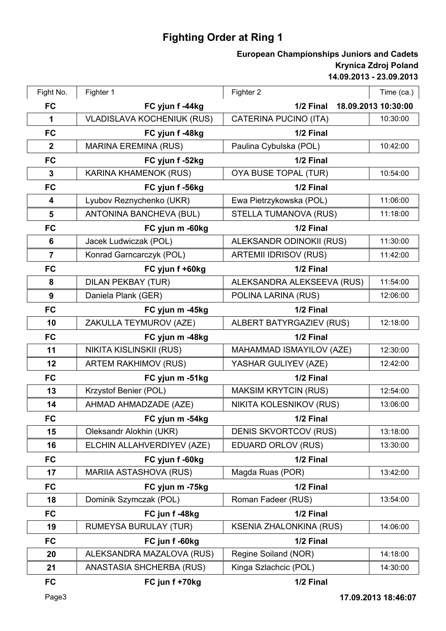## **Fighting Order at Ring 1**

## **14.09.2013 - 23.09.2013 Krynica Zdroj Poland European Championships Juniors and Cadets**

| Fight No.               | Fighter 1                         | Fighter 2                       | Time (ca.)          |
|-------------------------|-----------------------------------|---------------------------------|---------------------|
| <b>FC</b>               | FC yjun f -44kg                   | 1/2 Final                       | 18.09.2013 10:30:00 |
| 1                       | <b>VLADISLAVA KOCHENIUK (RUS)</b> | <b>CATERINA PUCINO (ITA)</b>    | 10:30:00            |
| <b>FC</b>               | FC yjun f -48kg                   | 1/2 Final                       |                     |
| $\boldsymbol{2}$        | <b>MARINA EREMINA (RUS)</b>       | Paulina Cybulska (POL)          | 10:42:00            |
| <b>FC</b>               | FC yjun f -52kg                   | 1/2 Final                       |                     |
| $\mathbf{3}$            | <b>KARINA KHAMENOK (RUS)</b>      | OYA BUSE TOPAL (TUR)            | 10:54:00            |
| <b>FC</b>               | FC yjun f -56kg                   | 1/2 Final                       |                     |
| 4                       | Lyubov Reznychenko (UKR)          | Ewa Pietrzykowska (POL)         | 11:06:00            |
| 5                       | ANTONINA BANCHEVA (BUL)           | STELLA TUMANOVA (RUS)           | 11:18:00            |
| <b>FC</b>               | FC yjun m -60kg                   | 1/2 Final                       |                     |
| 6                       | Jacek Ludwiczak (POL)             | <b>ALEKSANDR ODINOKII (RUS)</b> | 11:30:00            |
| $\overline{\mathbf{7}}$ | Konrad Garncarczyk (POL)          | <b>ARTEMII IDRISOV (RUS)</b>    | 11:42:00            |
| <b>FC</b>               | FC yjun f +60kg                   | 1/2 Final                       |                     |
| 8                       | <b>DILAN PEKBAY (TUR)</b>         | ALEKSANDRA ALEKSEEVA (RUS)      | 11:54:00            |
| 9                       | Daniela Plank (GER)               | POLINA LARINA (RUS)             | 12:06:00            |
| <b>FC</b>               | FC yjun m -45kg                   | 1/2 Final                       |                     |
| 10                      | ZAKULLA TEYMUROV (AZE)            | ALBERT BATYRGAZIEV (RUS)        | 12:18:00            |
| <b>FC</b>               | FC yjun m -48kg                   | 1/2 Final                       |                     |
| 11                      | NIKITA KISLINSKII (RUS)           | MAHAMMAD ISMAYILOV (AZE)        | 12:30:00            |
| 12                      | <b>ARTEM RAKHIMOV (RUS)</b>       | YASHAR GULIYEV (AZE)            | 12:42:00            |
| <b>FC</b>               | FC yjun m -51kg                   | 1/2 Final                       |                     |
| 13                      | Krzystof Benier (POL)             | <b>MAKSIM KRYTCIN (RUS)</b>     | 12:54:00            |
| 14                      | AHMAD AHMADZADE (AZE)             | NIKITA KOLESNIKOV (RUS)         | 13:06:00            |
| FC                      | FC yjun m -54kg                   | 1/2 Final                       |                     |
| 15                      | Oleksandr Alokhin (UKR)           | <b>DENIS SKVORTCOV (RUS)</b>    | 13:18:00            |
| 16                      | ELCHIN ALLAHVERDIYEV (AZE)        | <b>EDUARD ORLOV (RUS)</b>       | 13:30:00            |
| <b>FC</b>               | FC yjun f -60kg                   | 1/2 Final                       |                     |
| 17                      | <b>MARIIA ASTASHOVA (RUS)</b>     | Magda Ruas (POR)                | 13:42:00            |
| <b>FC</b>               | FC yjun m -75kg                   | 1/2 Final                       |                     |
| 18                      | Dominik Szymczak (POL)            | Roman Fadeer (RUS)              | 13:54:00            |
| <b>FC</b>               | FC jun f-48kg                     | 1/2 Final                       |                     |
| 19                      | <b>RUMEYSA BURULAY (TUR)</b>      | <b>KSENIA ZHALONKINA (RUS)</b>  | 14:06:00            |
| <b>FC</b>               | FC jun f -60kg                    | 1/2 Final                       |                     |
| 20                      | ALEKSANDRA MAZALOVA (RUS)         | Regine Soiland (NOR)            | 14:18:00            |
| 21                      | ANASTASIA SHCHERBA (RUS)          | Kinga Szlachcic (POL)           | 14:30:00            |
| <b>FC</b>               | FC jun f +70kg                    | 1/2 Final                       |                     |